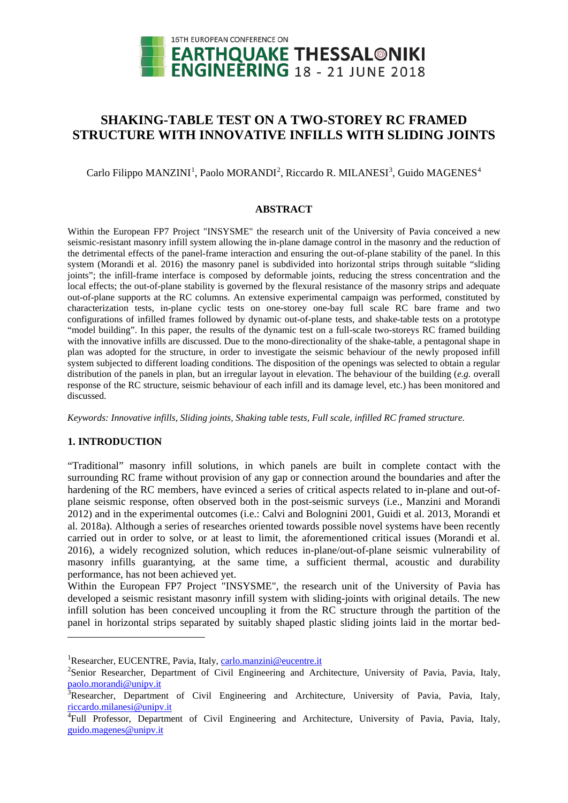

# **SHAKING-TABLE TEST ON A TWO-STOREY RC FRAMED STRUCTURE WITH INNOVATIVE INFILLS WITH SLIDING JOINTS**

 $\rm{Carlo~Filippo~MANZINI}^1,$  $\rm{Carlo~Filippo~MANZINI}^1,$  $\rm{Carlo~Filippo~MANZINI}^1,$  Paolo  $\rm{MORANDI}^2,$  $\rm{MORANDI}^2,$  $\rm{MORANDI}^2,$  Riccardo R.  $\rm{MILANESI}^3,$  $\rm{MILANESI}^3,$  $\rm{MILANESI}^3,$  Guido  $\rm{MAGENES}^4$  $\rm{MAGENES}^4$ 

#### **ABSTRACT**

Within the European FP7 Project "INSYSME" the research unit of the University of Pavia conceived a new seismic-resistant masonry infill system allowing the in-plane damage control in the masonry and the reduction of the detrimental effects of the panel-frame interaction and ensuring the out-of-plane stability of the panel. In this system (Morandi et al. 2016) the masonry panel is subdivided into horizontal strips through suitable "sliding joints"; the infill-frame interface is composed by deformable joints, reducing the stress concentration and the local effects; the out-of-plane stability is governed by the flexural resistance of the masonry strips and adequate out-of-plane supports at the RC columns. An extensive experimental campaign was performed, constituted by characterization tests, in-plane cyclic tests on one-storey one-bay full scale RC bare frame and two configurations of infilled frames followed by dynamic out-of-plane tests, and shake-table tests on a prototype "model building". In this paper, the results of the dynamic test on a full-scale two-storeys RC framed building with the innovative infills are discussed. Due to the mono-directionality of the shake-table, a pentagonal shape in plan was adopted for the structure, in order to investigate the seismic behaviour of the newly proposed infill system subjected to different loading conditions. The disposition of the openings was selected to obtain a regular distribution of the panels in plan, but an irregular layout in elevation. The behaviour of the building (*e.g.* overall response of the RC structure, seismic behaviour of each infill and its damage level, etc.) has been monitored and discussed.

*Keywords: Innovative infills, Sliding joints, Shaking table tests, Full scale, infilled RC framed structure.*

# **1. INTRODUCTION**

<u>.</u>

"Traditional" masonry infill solutions, in which panels are built in complete contact with the surrounding RC frame without provision of any gap or connection around the boundaries and after the hardening of the RC members, have evinced a series of critical aspects related to in-plane and out-ofplane seismic response, often observed both in the post-seismic surveys (i.e., Manzini and Morandi 2012) and in the experimental outcomes (i.e.: Calvi and Bolognini 2001, Guidi et al. 2013, Morandi et al. 2018a). Although a series of researches oriented towards possible novel systems have been recently carried out in order to solve, or at least to limit, the aforementioned critical issues (Morandi et al. 2016), a widely recognized solution, which reduces in-plane/out-of-plane seismic vulnerability of masonry infills guarantying, at the same time, a sufficient thermal, acoustic and durability performance, has not been achieved yet.

Within the European FP7 Project "INSYSME", the research unit of the University of Pavia has developed a seismic resistant masonry infill system with sliding-joints with original details. The new infill solution has been conceived uncoupling it from the RC structure through the partition of the panel in horizontal strips separated by suitably shaped plastic sliding joints laid in the mortar bed-

<span id="page-0-0"></span><sup>&</sup>lt;sup>1</sup>Researcher, EUCENTRE, Pavia, Italy[, carlo.manzini@eucentre.it](mailto:carlo.manzini@eucentre.it)

<span id="page-0-1"></span><sup>&</sup>lt;sup>2</sup>Senior Researcher, Department of Civil Engineering and Architecture, University of Pavia, Pavia, Italy, [paolo.morandi@unipv.it](mailto:paolo.morandi@unipv.it)

<span id="page-0-2"></span><sup>&</sup>lt;sup>3</sup>Researcher, Department of Civil Engineering and Architecture, University of Pavia, Pavia, Italy, [riccardo.milanesi@unipv.it](mailto:riccardo.milanesi@unipv.it)

<span id="page-0-3"></span><sup>&</sup>lt;sup>4</sup>Full Professor, Department of Civil Engineering and Architecture, University of Pavia, Pavia, Italy, [guido.magenes@unipv.it](mailto:guido.magenes@unipv.it)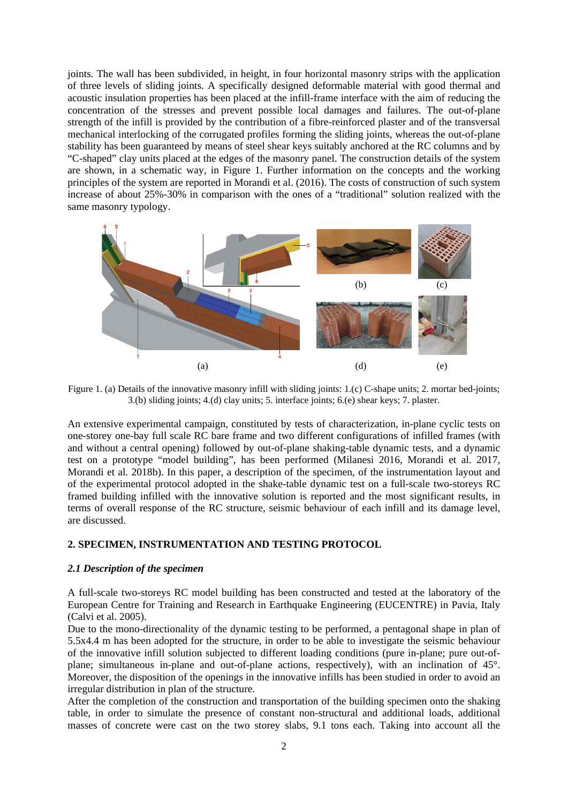joints. The wall has been subdivided, in height, in four horizontal masonry strips with the application of three levels of sliding joints. A specifically designed deformable material with good thermal and acoustic insulation properties has been placed at the infill-frame interface with the aim of reducing the concentration of the stresses and prevent possible local damages and failures. The out-of-plane strength of the infill is provided by the contribution of a fibre-reinforced plaster and of the transversal mechanical interlocking of the corrugated profiles forming the sliding joints, whereas the out-of-plane stability has been guaranteed by means of steel shear keys suitably anchored at the RC columns and by "C-shaped" clay units placed at the edges of the masonry panel. The construction details of the system are shown, in a schematic way, in [Figure 1.](#page-1-0) Further information on the concepts and the working principles of the system are reported in Morandi et al. (2016). The costs of construction of such system increase of about 25%-30% in comparison with the ones of a "traditional" solution realized with the same masonry typology.



<span id="page-1-0"></span>Figure 1. (a) Details of the innovative masonry infill with sliding joints: 1.(c) C-shape units; 2. mortar bed-joints; 3.(b) sliding joints; 4.(d) clay units; 5. interface joints; 6.(e) shear keys; 7. plaster.

An extensive experimental campaign, constituted by tests of characterization, in-plane cyclic tests on one-storey one-bay full scale RC bare frame and two different configurations of infilled frames (with and without a central opening) followed by out-of-plane shaking-table dynamic tests, and a dynamic test on a prototype "model building", has been performed (Milanesi 2016, Morandi et al. 2017, Morandi et al. 2018b). In this paper, a description of the specimen, of the instrumentation layout and of the experimental protocol adopted in the shake-table dynamic test on a full-scale two-storeys RC framed building infilled with the innovative solution is reported and the most significant results, in terms of overall response of the RC structure, seismic behaviour of each infill and its damage level, are discussed.

#### **2. SPECIMEN, INSTRUMENTATION AND TESTING PROTOCOL**

# *2.1 Description of the specimen*

A full-scale two-storeys RC model building has been constructed and tested at the laboratory of the European Centre for Training and Research in Earthquake Engineering (EUCENTRE) in Pavia, Italy (Calvi et al. 2005).

Due to the mono-directionality of the dynamic testing to be performed, a pentagonal shape in plan of 5.5x4.4 m has been adopted for the structure, in order to be able to investigate the seismic behaviour of the innovative infill solution subjected to different loading conditions (pure in-plane; pure out-ofplane; simultaneous in-plane and out-of-plane actions, respectively), with an inclination of 45°. Moreover, the disposition of the openings in the innovative infills has been studied in order to avoid an irregular distribution in plan of the structure.

After the completion of the construction and transportation of the building specimen onto the shaking table, in order to simulate the presence of constant non-structural and additional loads, additional masses of concrete were cast on the two storey slabs, 9.1 tons each. Taking into account all the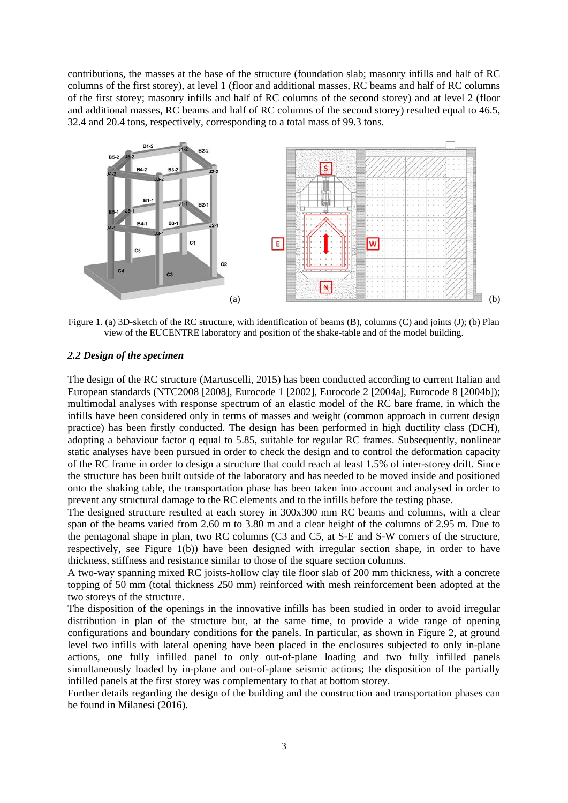contributions, the masses at the base of the structure (foundation slab; masonry infills and half of RC columns of the first storey), at level 1 (floor and additional masses, RC beams and half of RC columns of the first storey; masonry infills and half of RC columns of the second storey) and at level 2 (floor and additional masses, RC beams and half of RC columns of the second storey) resulted equal to 46.5, 32.4 and 20.4 tons, respectively, corresponding to a total mass of 99.3 tons.



<span id="page-2-0"></span>Figure 1. (a) 3D-sketch of the RC structure, with identification of beams (B), columns (C) and joints (J); (b) Plan view of the EUCENTRE laboratory and position of the shake-table and of the model building.

#### *2.2 Design of the specimen*

The design of the RC structure (Martuscelli, 2015) has been conducted according to current Italian and European standards (NTC2008 [2008], Eurocode 1 [2002], Eurocode 2 [2004a], Eurocode 8 [2004b]); multimodal analyses with response spectrum of an elastic model of the RC bare frame, in which the infills have been considered only in terms of masses and weight (common approach in current design practice) has been firstly conducted. The design has been performed in high ductility class (DCH), adopting a behaviour factor q equal to 5.85, suitable for regular RC frames. Subsequently, nonlinear static analyses have been pursued in order to check the design and to control the deformation capacity of the RC frame in order to design a structure that could reach at least 1.5% of inter-storey drift. Since the structure has been built outside of the laboratory and has needed to be moved inside and positioned onto the shaking table, the transportation phase has been taken into account and analysed in order to prevent any structural damage to the RC elements and to the infills before the testing phase.

The designed structure resulted at each storey in 300x300 mm RC beams and columns, with a clear span of the beams varied from 2.60 m to 3.80 m and a clear height of the columns of 2.95 m. Due to the pentagonal shape in plan, two RC columns (C3 and C5, at S-E and S-W corners of the structure, respectively, see [Figure 1\(](#page-2-0)b)) have been designed with irregular section shape, in order to have thickness, stiffness and resistance similar to those of the square section columns.

A two-way spanning mixed RC joists-hollow clay tile floor slab of 200 mm thickness, with a concrete topping of 50 mm (total thickness 250 mm) reinforced with mesh reinforcement been adopted at the two storeys of the structure.

The disposition of the openings in the innovative infills has been studied in order to avoid irregular distribution in plan of the structure but, at the same time, to provide a wide range of opening configurations and boundary conditions for the panels. In particular, as shown in [Figure 2,](#page-3-0) at ground level two infills with lateral opening have been placed in the enclosures subjected to only in-plane actions, one fully infilled panel to only out-of-plane loading and two fully infilled panels simultaneously loaded by in-plane and out-of-plane seismic actions; the disposition of the partially infilled panels at the first storey was complementary to that at bottom storey.

Further details regarding the design of the building and the construction and transportation phases can be found in Milanesi (2016).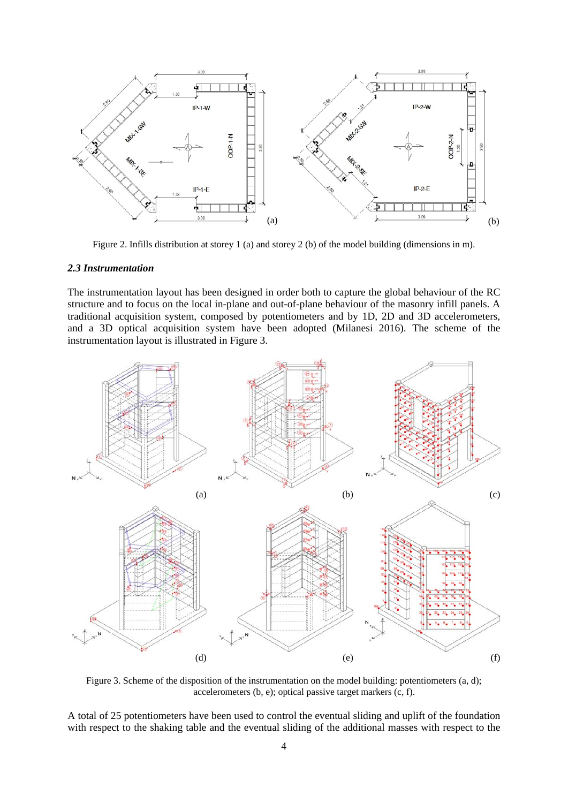

Figure 2. Infills distribution at storey 1 (a) and storey 2 (b) of the model building (dimensions in m).

## <span id="page-3-0"></span>*2.3 Instrumentation*

The instrumentation layout has been designed in order both to capture the global behaviour of the RC structure and to focus on the local in-plane and out-of-plane behaviour of the masonry infill panels. A traditional acquisition system, composed by potentiometers and by 1D, 2D and 3D accelerometers, and a 3D optical acquisition system have been adopted (Milanesi 2016). The scheme of the instrumentation layout is illustrated in [Figure 3.](#page-3-1)



<span id="page-3-1"></span>Figure 3. Scheme of the disposition of the instrumentation on the model building: potentiometers (a, d); accelerometers (b, e); optical passive target markers (c, f).

A total of 25 potentiometers have been used to control the eventual sliding and uplift of the foundation with respect to the shaking table and the eventual sliding of the additional masses with respect to the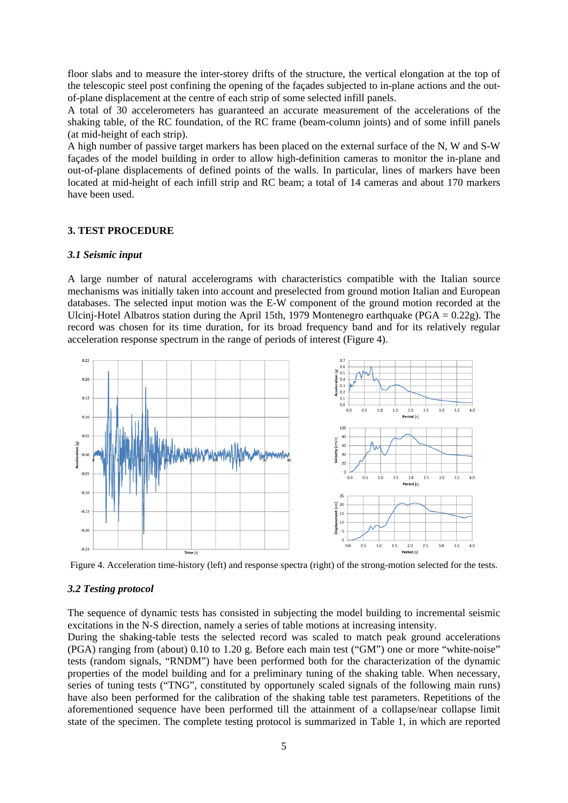floor slabs and to measure the inter-storey drifts of the structure, the vertical elongation at the top of the telescopic steel post confining the opening of the façades subjected to in-plane actions and the outof-plane displacement at the centre of each strip of some selected infill panels.

A total of 30 accelerometers has guaranteed an accurate measurement of the accelerations of the shaking table, of the RC foundation, of the RC frame (beam-column joints) and of some infill panels (at mid-height of each strip).

A high number of passive target markers has been placed on the external surface of the N, W and S-W façades of the model building in order to allow high-definition cameras to monitor the in-plane and out-of-plane displacements of defined points of the walls. In particular, lines of markers have been located at mid-height of each infill strip and RC beam; a total of 14 cameras and about 170 markers have been used.

#### **3. TEST PROCEDURE**

## *3.1 Seismic input*

A large number of natural accelerograms with characteristics compatible with the Italian source mechanisms was initially taken into account and preselected from ground motion Italian and European databases. The selected input motion was the E-W component of the ground motion recorded at the Ulcinj-Hotel Albatros station during the April 15th, 1979 Montenegro earthquake (PGA = 0.22g). The record was chosen for its time duration, for its broad frequency band and for its relatively regular acceleration response spectrum in the range of periods of interest [\(Figure 4\)](#page-4-0).



<span id="page-4-0"></span>Figure 4. Acceleration time-history (left) and response spectra (right) of the strong-motion selected for the tests.

#### *3.2 Testing protocol*

The sequence of dynamic tests has consisted in subjecting the model building to incremental seismic excitations in the N-S direction, namely a series of table motions at increasing intensity.

During the shaking-table tests the selected record was scaled to match peak ground accelerations (PGA) ranging from (about) 0.10 to 1.20 g. Before each main test ("GM") one or more "white-noise" tests (random signals, "RNDM") have been performed both for the characterization of the dynamic properties of the model building and for a preliminary tuning of the shaking table. When necessary, series of tuning tests ("TNG", constituted by opportunely scaled signals of the following main runs) have also been performed for the calibration of the shaking table test parameters. Repetitions of the aforementioned sequence have been performed till the attainment of a collapse/near collapse limit state of the specimen. The complete testing protocol is summarized in [Table 1,](#page-5-0) in which are reported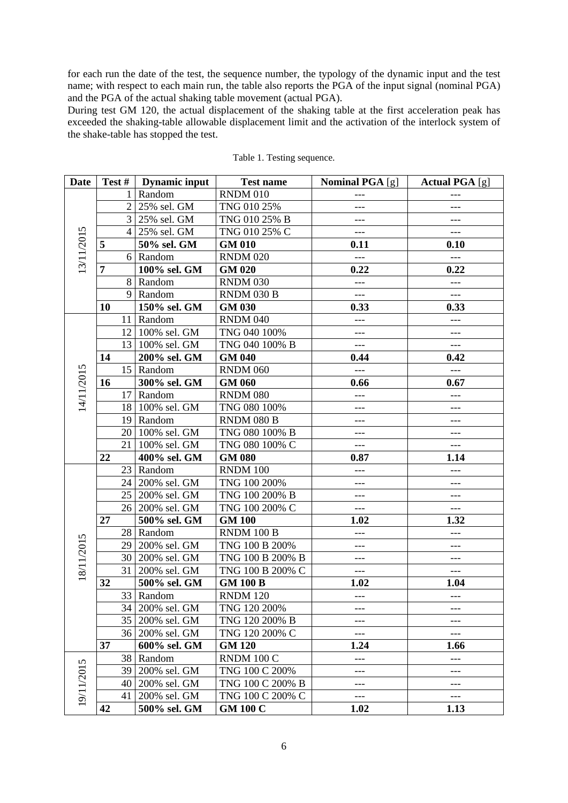for each run the date of the test, the sequence number, the typology of the dynamic input and the test name; with respect to each main run, the table also reports the PGA of the input signal (nominal PGA) and the PGA of the actual shaking table movement (actual PGA).

During test GM 120, the actual displacement of the shaking table at the first acceleration peak has exceeded the shaking-table allowable displacement limit and the activation of the interlock system of the shake-table has stopped the test.

<span id="page-5-0"></span>

| Date       |                | Test #   Dynamic input | <b>Test name</b> | <b>Nominal PGA</b> [g] | <b>Actual PGA</b> [g]    |
|------------|----------------|------------------------|------------------|------------------------|--------------------------|
| 13/11/2015 | 1              | Random                 | <b>RNDM 010</b>  |                        |                          |
|            | $\overline{2}$ | 25% sel. GM            | TNG 010 25%      | ---                    | ---                      |
|            |                | 3 25% sel. GM          | TNG 010 25% B    | ---                    | $---$                    |
|            | $\overline{4}$ | 25% sel. GM            | TNG 010 25% C    | $---$                  | $---$                    |
|            | 5              | 50% sel. GM            | <b>GM 010</b>    | 0.11                   | 0.10                     |
|            |                | 6 Random               | <b>RNDM 020</b>  | $---$                  | $---$                    |
|            | 7              | 100% sel. GM           | <b>GM 020</b>    | 0.22                   | 0.22                     |
|            |                | 8 Random               | <b>RNDM 030</b>  | $---$                  | $---$                    |
|            | 9              | Random                 | RNDM 030 B       | $---$                  | ---                      |
|            | 10             | 150% sel. GM           | <b>GM 030</b>    | 0.33                   | 0.33                     |
| 14/11/2015 |                | 11 Random              | <b>RNDM 040</b>  | $---$                  | ---                      |
|            |                | 12 100% sel. GM        | TNG 040 100%     | ---                    | ---                      |
|            |                | 13 100% sel. GM        | TNG 040 100% B   | $---$                  | $---$                    |
|            | 14             | 200% sel. GM           | <b>GM 040</b>    | 0.44                   | 0.42                     |
|            | 15             | Random                 | <b>RNDM 060</b>  | $---$                  | $---$                    |
|            | 16             | 300% sel. GM           | <b>GM 060</b>    | 0.66                   | 0.67                     |
|            |                | 17 Random              | <b>RNDM 080</b>  | ---                    | ---                      |
|            | 18             | 100% sel. GM           | TNG 080 100%     | $---$                  | ---                      |
|            |                | 19 Random              | RNDM 080 B       | ---                    | ---                      |
|            |                | 20 100% sel. GM        | TNG 080 100% B   | $---$                  | $---$                    |
|            | 21             | 100% sel. GM           | TNG 080 100% C   | $---$                  | $---$                    |
|            | 22             | 400% sel. GM           | <b>GM 080</b>    | 0.87                   | 1.14                     |
|            | 23             | Random                 | RNDM 100         | ---                    | $---$                    |
|            |                | 24 200% sel. GM        | TNG 100 200%     | ---                    | $---$                    |
|            | 25             | 200% sel. GM           | TNG 100 200% B   | ---                    | $---$                    |
|            | 26             | 200% sel. GM           | TNG 100 200% C   | $---$                  | $---$                    |
| 18/11/2015 | 27             | 500% sel. GM           | <b>GM 100</b>    | 1.02                   | 1.32                     |
|            | 28             | Random                 | RNDM 100 B       | ---                    | $\qquad \qquad - -$      |
|            | 29             | 200% sel. GM           | TNG 100 B 200%   | ---                    | $\qquad \qquad - -$      |
|            |                | 30 200% sel. GM        | TNG 100 B 200% B | $---$                  | $---$                    |
|            | 31             | 200% sel. GM           | TNG 100 B 200% C | $---$                  | $---$                    |
|            | 32             | 500% sel. GM           | <b>GM 100 B</b>  | 1.02                   | 1.04                     |
|            | 33             | Random                 | <b>RNDM 120</b>  | $---$                  | $\scriptstyle{\cdots}$ . |
|            |                | 34   200% sel. GM      | TNG 120 200%     | $---$                  | $---$                    |
|            | 35             | 200% sel. GM           | TNG 120 200% B   | ---                    | ---                      |
|            |                | 36 200% sel. GM        | TNG 120 200% C   | ---                    | $---$                    |
|            | 37             | 600% sel. GM           | <b>GM 120</b>    | 1.24                   | 1.66                     |
| 19/11/2015 | 38             | Random                 | RNDM 100 C       | $---$                  | $---$                    |
|            | 39             | 200% sel. GM           | TNG 100 C 200%   | ---                    | ---                      |
|            | 40             | 200% sel. GM           | TNG 100 C 200% B | ---                    | ---                      |
|            | 41             | 200% sel. GM           | TNG 100 C 200% C | $-\, -\, -$            | $---$                    |
|            | 42             | 500% sel. GM           | <b>GM 100 C</b>  | 1.02                   | 1.13                     |

Table 1. Testing sequence.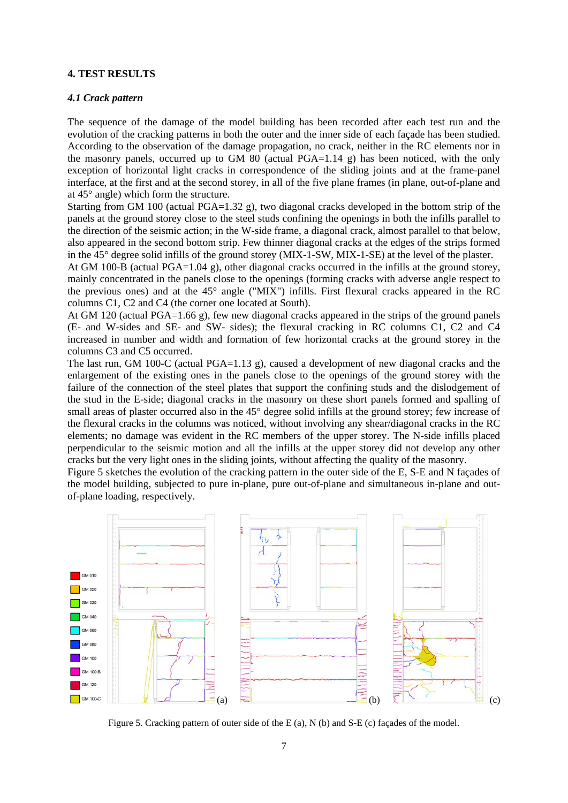## **4. TEST RESULTS**

## *4.1 Crack pattern*

The sequence of the damage of the model building has been recorded after each test run and the evolution of the cracking patterns in both the outer and the inner side of each façade has been studied. According to the observation of the damage propagation, no crack, neither in the RC elements nor in the masonry panels, occurred up to GM 80 (actual  $PGA=1.14$  g) has been noticed, with the only exception of horizontal light cracks in correspondence of the sliding joints and at the frame-panel interface, at the first and at the second storey, in all of the five plane frames (in plane, out-of-plane and at 45° angle) which form the structure.

Starting from GM 100 (actual PGA=1.32 g), two diagonal cracks developed in the bottom strip of the panels at the ground storey close to the steel studs confining the openings in both the infills parallel to the direction of the seismic action; in the W-side frame, a diagonal crack, almost parallel to that below, also appeared in the second bottom strip. Few thinner diagonal cracks at the edges of the strips formed in the 45° degree solid infills of the ground storey (MIX-1-SW, MIX-1-SE) at the level of the plaster.

At GM 100-B (actual PGA=1.04 g), other diagonal cracks occurred in the infills at the ground storey, mainly concentrated in the panels close to the openings (forming cracks with adverse angle respect to the previous ones) and at the 45° angle ("MIX") infills. First flexural cracks appeared in the RC columns C1, C2 and C4 (the corner one located at South).

At GM 120 (actual PGA=1.66 g), few new diagonal cracks appeared in the strips of the ground panels (E- and W-sides and SE- and SW- sides); the flexural cracking in RC columns C1, C2 and C4 increased in number and width and formation of few horizontal cracks at the ground storey in the columns C3 and C5 occurred.

The last run, GM 100-C (actual PGA=1.13 g), caused a development of new diagonal cracks and the enlargement of the existing ones in the panels close to the openings of the ground storey with the failure of the connection of the steel plates that support the confining studs and the dislodgement of the stud in the E-side; diagonal cracks in the masonry on these short panels formed and spalling of small areas of plaster occurred also in the 45° degree solid infills at the ground storey; few increase of the flexural cracks in the columns was noticed, without involving any shear/diagonal cracks in the RC elements; no damage was evident in the RC members of the upper storey. The N-side infills placed perpendicular to the seismic motion and all the infills at the upper storey did not develop any other cracks but the very light ones in the sliding joints, without affecting the quality of the masonry.

[Figure 5](#page-6-0) sketches the evolution of the cracking pattern in the outer side of the E, S-E and N façades of the model building, subjected to pure in-plane, pure out-of-plane and simultaneous in-plane and outof-plane loading, respectively.



<span id="page-6-0"></span>Figure 5. Cracking pattern of outer side of the E (a), N (b) and S-E (c) façades of the model.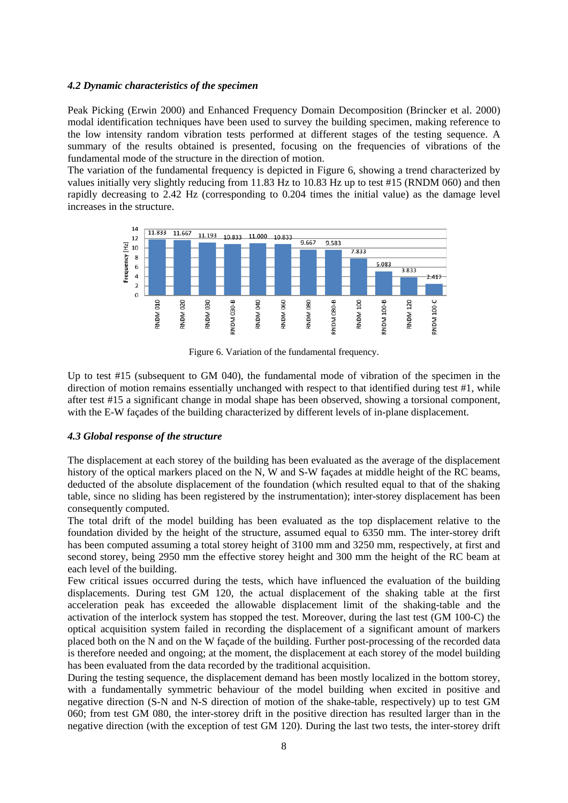## *4.2 Dynamic characteristics of the specimen*

Peak Picking (Erwin 2000) and Enhanced Frequency Domain Decomposition (Brincker et al. 2000) modal identification techniques have been used to survey the building specimen, making reference to the low intensity random vibration tests performed at different stages of the testing sequence. A summary of the results obtained is presented, focusing on the frequencies of vibrations of the fundamental mode of the structure in the direction of motion.

The variation of the fundamental frequency is depicted in [Figure 6,](#page-7-0) showing a trend characterized by values initially very slightly reducing from 11.83 Hz to 10.83 Hz up to test #15 (RNDM 060) and then rapidly decreasing to 2.42 Hz (corresponding to 0.204 times the initial value) as the damage level increases in the structure.



Figure 6. Variation of the fundamental frequency.

<span id="page-7-0"></span>Up to test #15 (subsequent to GM 040), the fundamental mode of vibration of the specimen in the direction of motion remains essentially unchanged with respect to that identified during test #1, while after test #15 a significant change in modal shape has been observed, showing a torsional component, with the E-W façades of the building characterized by different levels of in-plane displacement.

# *4.3 Global response of the structure*

The displacement at each storey of the building has been evaluated as the average of the displacement history of the optical markers placed on the N, W and S-W façades at middle height of the RC beams, deducted of the absolute displacement of the foundation (which resulted equal to that of the shaking table, since no sliding has been registered by the instrumentation); inter-storey displacement has been consequently computed.

The total drift of the model building has been evaluated as the top displacement relative to the foundation divided by the height of the structure, assumed equal to 6350 mm. The inter-storey drift has been computed assuming a total storey height of 3100 mm and 3250 mm, respectively, at first and second storey, being 2950 mm the effective storey height and 300 mm the height of the RC beam at each level of the building.

Few critical issues occurred during the tests, which have influenced the evaluation of the building displacements. During test GM 120, the actual displacement of the shaking table at the first acceleration peak has exceeded the allowable displacement limit of the shaking-table and the activation of the interlock system has stopped the test. Moreover, during the last test (GM 100-C) the optical acquisition system failed in recording the displacement of a significant amount of markers placed both on the N and on the W façade of the building. Further post-processing of the recorded data is therefore needed and ongoing; at the moment, the displacement at each storey of the model building has been evaluated from the data recorded by the traditional acquisition.

During the testing sequence, the displacement demand has been mostly localized in the bottom storey, with a fundamentally symmetric behaviour of the model building when excited in positive and negative direction (S-N and N-S direction of motion of the shake-table, respectively) up to test GM 060; from test GM 080, the inter-storey drift in the positive direction has resulted larger than in the negative direction (with the exception of test GM 120). During the last two tests, the inter-storey drift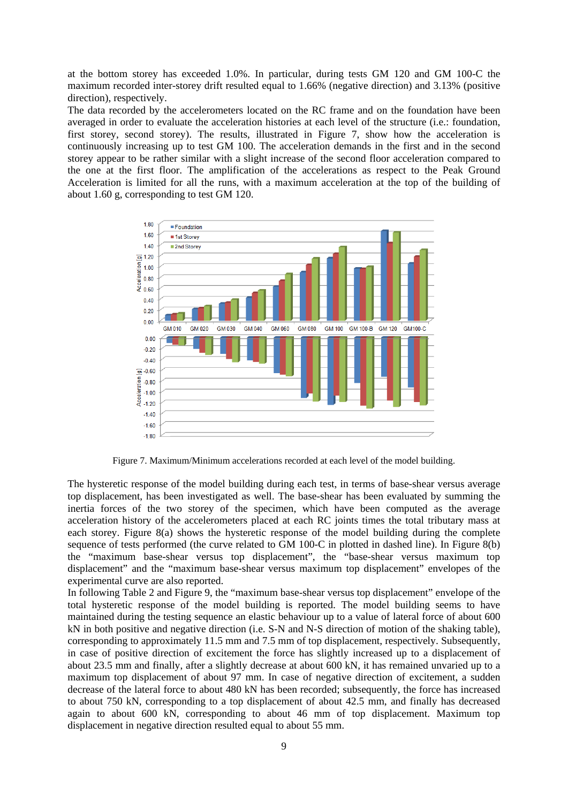at the bottom storey has exceeded 1.0%. In particular, during tests GM 120 and GM 100-C the maximum recorded inter-storey drift resulted equal to 1.66% (negative direction) and 3.13% (positive direction), respectively.

The data recorded by the accelerometers located on the RC frame and on the foundation have been averaged in order to evaluate the acceleration histories at each level of the structure (i.e.: foundation, first storey, second storey). The results, illustrated in [Figure 7,](#page-8-0) show how the acceleration is continuously increasing up to test GM 100. The acceleration demands in the first and in the second storey appear to be rather similar with a slight increase of the second floor acceleration compared to the one at the first floor. The amplification of the accelerations as respect to the Peak Ground Acceleration is limited for all the runs, with a maximum acceleration at the top of the building of about 1.60 g, corresponding to test GM 120.



Figure 7. Maximum/Minimum accelerations recorded at each level of the model building.

<span id="page-8-0"></span>The hysteretic response of the model building during each test, in terms of base-shear versus average top displacement, has been investigated as well. The base-shear has been evaluated by summing the inertia forces of the two storey of the specimen, which have been computed as the average acceleration history of the accelerometers placed at each RC joints times the total tributary mass at each storey. [Figure 8\(](#page-9-0)a) shows the hysteretic response of the model building during the complete sequence of tests performed (the curve related to GM 100-C in plotted in dashed line). In [Figure 8\(](#page-9-0)b) the "maximum base-shear versus top displacement", the "base-shear versus maximum top displacement" and the "maximum base-shear versus maximum top displacement" envelopes of the experimental curve are also reported.

In following [Table 2](#page-9-1) and [Figure 9,](#page-9-2) the "maximum base-shear versus top displacement" envelope of the total hysteretic response of the model building is reported. The model building seems to have maintained during the testing sequence an elastic behaviour up to a value of lateral force of about 600 kN in both positive and negative direction (i.e. S-N and N-S direction of motion of the shaking table), corresponding to approximately 11.5 mm and 7.5 mm of top displacement, respectively. Subsequently, in case of positive direction of excitement the force has slightly increased up to a displacement of about 23.5 mm and finally, after a slightly decrease at about 600 kN, it has remained unvaried up to a maximum top displacement of about 97 mm. In case of negative direction of excitement, a sudden decrease of the lateral force to about 480 kN has been recorded; subsequently, the force has increased to about 750 kN, corresponding to a top displacement of about 42.5 mm, and finally has decreased again to about 600 kN, corresponding to about 46 mm of top displacement. Maximum top displacement in negative direction resulted equal to about 55 mm.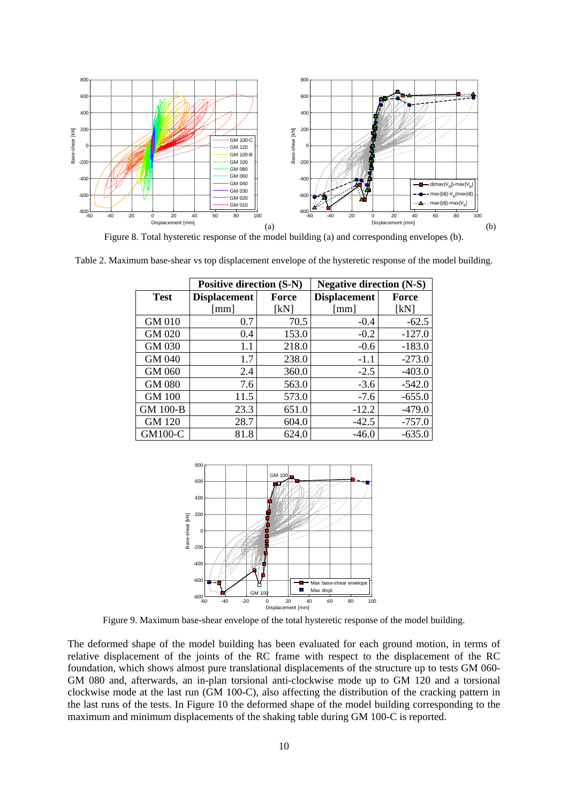

Figure 8. Total hysteretic response of the model building (a) and corresponding envelopes (b).

<span id="page-9-1"></span><span id="page-9-0"></span>Table 2. Maximum base-shear vs top displacement envelope of the hysteretic response of the model building.

|                 | <b>Positive direction (S-N)</b> |              | <b>Negative direction (N-S)</b> |          |
|-----------------|---------------------------------|--------------|---------------------------------|----------|
| <b>Test</b>     | <b>Displacement</b>             | <b>Force</b> | <b>Displacement</b>             | Force    |
|                 | $\lceil$ mm]                    | [kN]         | [mm]                            | [kN]     |
| GM 010          | 0.7                             | 70.5         | $-0.4$                          | $-62.5$  |
| GM 020          | 0.4                             | 153.0        | $-0.2$                          | $-127.0$ |
| GM 030          | 1.1                             | 218.0        | $-0.6$                          | $-183.0$ |
| GM 040          | 1.7                             | 238.0        | $-1.1$                          | $-273.0$ |
| GM 060          | 2.4                             | 360.0        | $-2.5$                          | $-403.0$ |
| <b>GM 080</b>   | 7.6                             | 563.0        | $-3.6$                          | $-542.0$ |
| <b>GM 100</b>   | 11.5                            | 573.0        | $-7.6$                          | $-655.0$ |
| <b>GM 100-B</b> | 23.3                            | 651.0        | $-12.2$                         | $-479.0$ |
| GM 120          | 28.7                            | 604.0        | $-42.5$                         | $-757.0$ |
| GM100-C         | 81.8                            | 624.0        | $-46.0$                         | $-635.0$ |



Figure 9. Maximum base-shear envelope of the total hysteretic response of the model building.

<span id="page-9-2"></span>The deformed shape of the model building has been evaluated for each ground motion, in terms of relative displacement of the joints of the RC frame with respect to the displacement of the RC foundation, which shows almost pure translational displacements of the structure up to tests GM 060- GM 080 and, afterwards, an in-plan torsional anti-clockwise mode up to GM 120 and a torsional clockwise mode at the last run (GM 100-C), also affecting the distribution of the cracking pattern in the last runs of the tests. In [Figure 10](#page-10-0) the deformed shape of the model building corresponding to the maximum and minimum displacements of the shaking table during GM 100-C is reported.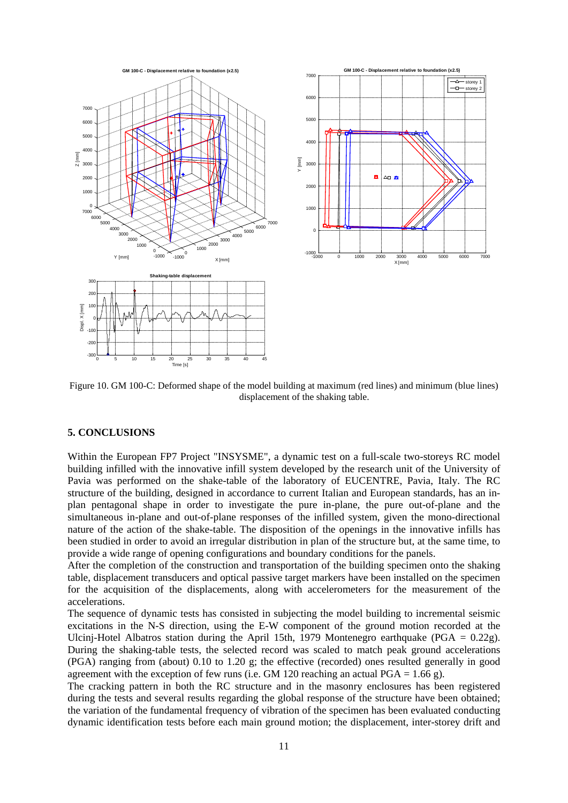

<span id="page-10-0"></span>Figure 10. GM 100-C: Deformed shape of the model building at maximum (red lines) and minimum (blue lines) displacement of the shaking table.

# **5. CONCLUSIONS**

Within the European FP7 Project "INSYSME", a dynamic test on a full-scale two-storeys RC model building infilled with the innovative infill system developed by the research unit of the University of Pavia was performed on the shake-table of the laboratory of EUCENTRE, Pavia, Italy. The RC structure of the building, designed in accordance to current Italian and European standards, has an inplan pentagonal shape in order to investigate the pure in-plane, the pure out-of-plane and the simultaneous in-plane and out-of-plane responses of the infilled system, given the mono-directional nature of the action of the shake-table. The disposition of the openings in the innovative infills has been studied in order to avoid an irregular distribution in plan of the structure but, at the same time, to provide a wide range of opening configurations and boundary conditions for the panels.

After the completion of the construction and transportation of the building specimen onto the shaking table, displacement transducers and optical passive target markers have been installed on the specimen for the acquisition of the displacements, along with accelerometers for the measurement of the accelerations.

The sequence of dynamic tests has consisted in subjecting the model building to incremental seismic excitations in the N-S direction, using the E-W component of the ground motion recorded at the Ulcinj-Hotel Albatros station during the April 15th, 1979 Montenegro earthquake (PGA = 0.22g). During the shaking-table tests, the selected record was scaled to match peak ground accelerations (PGA) ranging from (about) 0.10 to 1.20 g; the effective (recorded) ones resulted generally in good agreement with the exception of few runs (i.e. GM 120 reaching an actual PGA =  $1.66$  g).

The cracking pattern in both the RC structure and in the masonry enclosures has been registered during the tests and several results regarding the global response of the structure have been obtained; the variation of the fundamental frequency of vibration of the specimen has been evaluated conducting dynamic identification tests before each main ground motion; the displacement, inter-storey drift and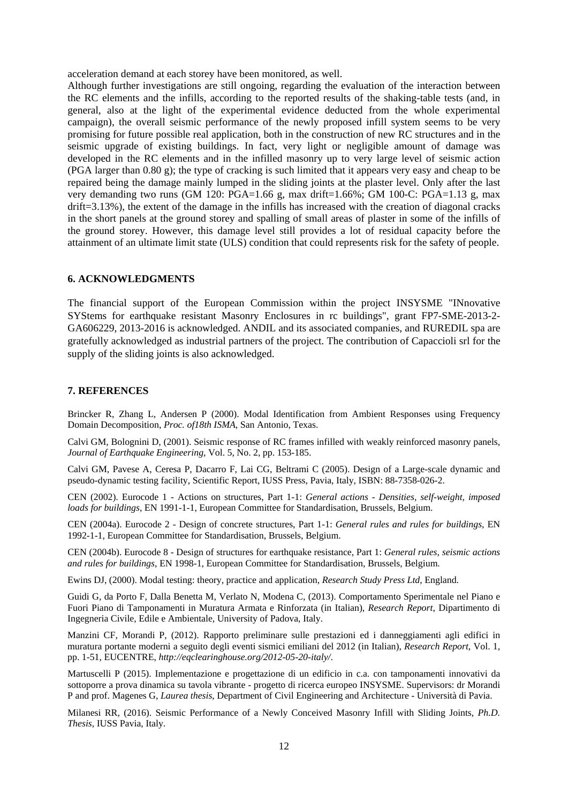acceleration demand at each storey have been monitored, as well.

Although further investigations are still ongoing, regarding the evaluation of the interaction between the RC elements and the infills, according to the reported results of the shaking-table tests (and, in general, also at the light of the experimental evidence deducted from the whole experimental campaign), the overall seismic performance of the newly proposed infill system seems to be very promising for future possible real application, both in the construction of new RC structures and in the seismic upgrade of existing buildings. In fact, very light or negligible amount of damage was developed in the RC elements and in the infilled masonry up to very large level of seismic action (PGA larger than 0.80 g); the type of cracking is such limited that it appears very easy and cheap to be repaired being the damage mainly lumped in the sliding joints at the plaster level. Only after the last very demanding two runs (GM 120: PGA=1.66 g, max drift=1.66%; GM 100-C: PGA=1.13 g, max drift=3.13%), the extent of the damage in the infills has increased with the creation of diagonal cracks in the short panels at the ground storey and spalling of small areas of plaster in some of the infills of the ground storey. However, this damage level still provides a lot of residual capacity before the attainment of an ultimate limit state (ULS) condition that could represents risk for the safety of people.

## **6. ACKNOWLEDGMENTS**

The financial support of the European Commission within the project INSYSME "INnovative SYStems for earthquake resistant Masonry Enclosures in rc buildings", grant FP7-SME-2013-2- GA606229, 2013-2016 is acknowledged. ANDIL and its associated companies, and RUREDIL spa are gratefully acknowledged as industrial partners of the project. The contribution of Capaccioli srl for the supply of the sliding joints is also acknowledged.

#### **7. REFERENCES**

Brincker R, Zhang L, Andersen P (2000). Modal Identification from Ambient Responses using Frequency Domain Decomposition, *Proc. of18th ISMA*, San Antonio, Texas.

Calvi GM, Bolognini D, (2001). Seismic response of RC frames infilled with weakly reinforced masonry panels, *Journal of Earthquake Engineering*, Vol. 5, No. 2, pp. 153-185.

Calvi GM, Pavese A, Ceresa P, Dacarro F, Lai CG, Beltrami C (2005). Design of a Large-scale dynamic and pseudo-dynamic testing facility, Scientific Report, IUSS Press, Pavia, Italy, ISBN: 88-7358-026-2.

CEN (2002). Eurocode 1 - Actions on structures, Part 1-1: *General actions - Densities, self-weight, imposed loads for buildings*, EN 1991-1-1, European Committee for Standardisation, Brussels, Belgium.

CEN (2004a). Eurocode 2 - Design of concrete structures, Part 1-1: *General rules and rules for buildings*, EN 1992-1-1, European Committee for Standardisation, Brussels, Belgium.

CEN (2004b). Eurocode 8 - Design of structures for earthquake resistance, Part 1: *General rules, seismic actions and rules for buildings*, EN 1998-1, European Committee for Standardisation, Brussels, Belgium.

Ewins DJ, (2000). Modal testing: theory, practice and application, *Research Study Press Ltd*, England.

Guidi G, da Porto F, Dalla Benetta M, Verlato N, Modena C, (2013). Comportamento Sperimentale nel Piano e Fuori Piano di Tamponamenti in Muratura Armata e Rinforzata (in Italian), *Research Report*, Dipartimento di Ingegneria Civile, Edile e Ambientale, University of Padova, Italy.

Manzini CF, Morandi P, (2012). Rapporto preliminare sulle prestazioni ed i danneggiamenti agli edifici in muratura portante moderni a seguito degli eventi sismici emiliani del 2012 (in Italian), *Research Report*, Vol. 1, pp. 1-51, EUCENTRE, *http://eqclearinghouse.org/2012-05-20-italy/*.

Martuscelli P (2015). Implementazione e progettazione di un edificio in c.a. con tamponamenti innovativi da sottoporre a prova dinamica su tavola vibrante - progetto di ricerca europeo INSYSME. Supervisors: dr Morandi P and prof. Magenes G, *Laurea thesis*, Department of Civil Engineering and Architecture - Università di Pavia.

Milanesi RR, (2016). Seismic Performance of a Newly Conceived Masonry Infill with Sliding Joints, *Ph.D. Thesis*, IUSS Pavia, Italy.